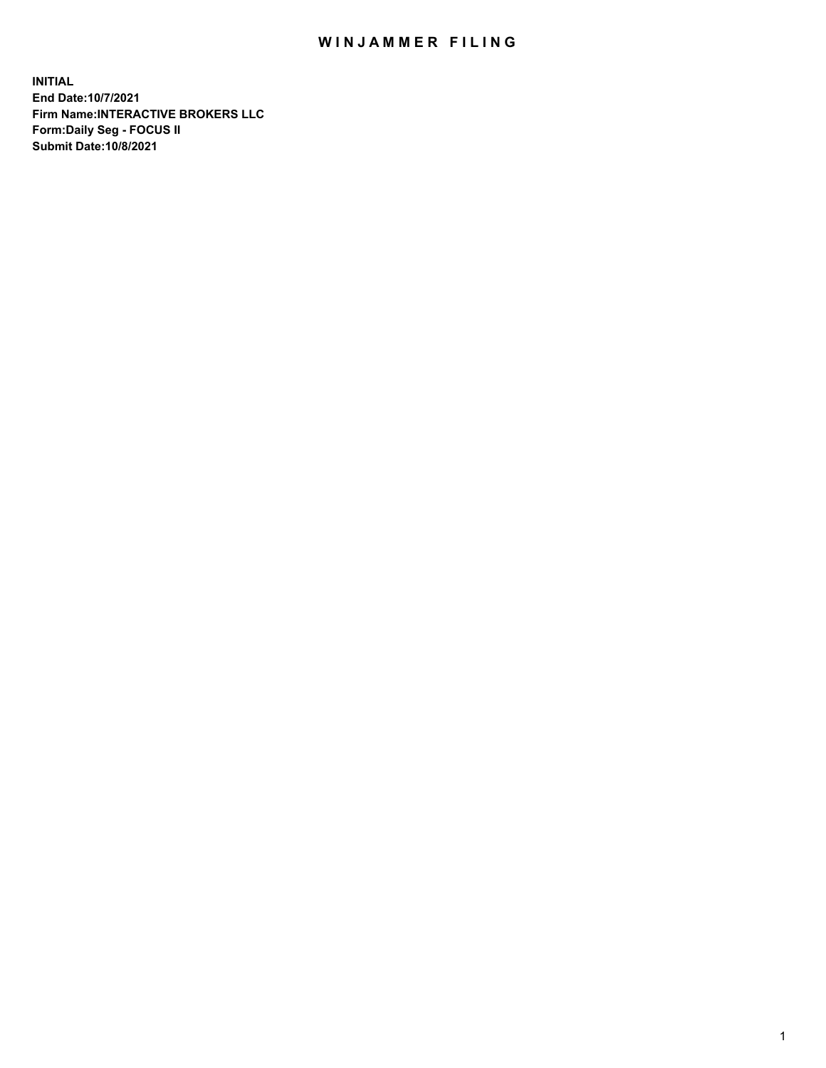## WIN JAMMER FILING

**INITIAL End Date:10/7/2021 Firm Name:INTERACTIVE BROKERS LLC Form:Daily Seg - FOCUS II Submit Date:10/8/2021**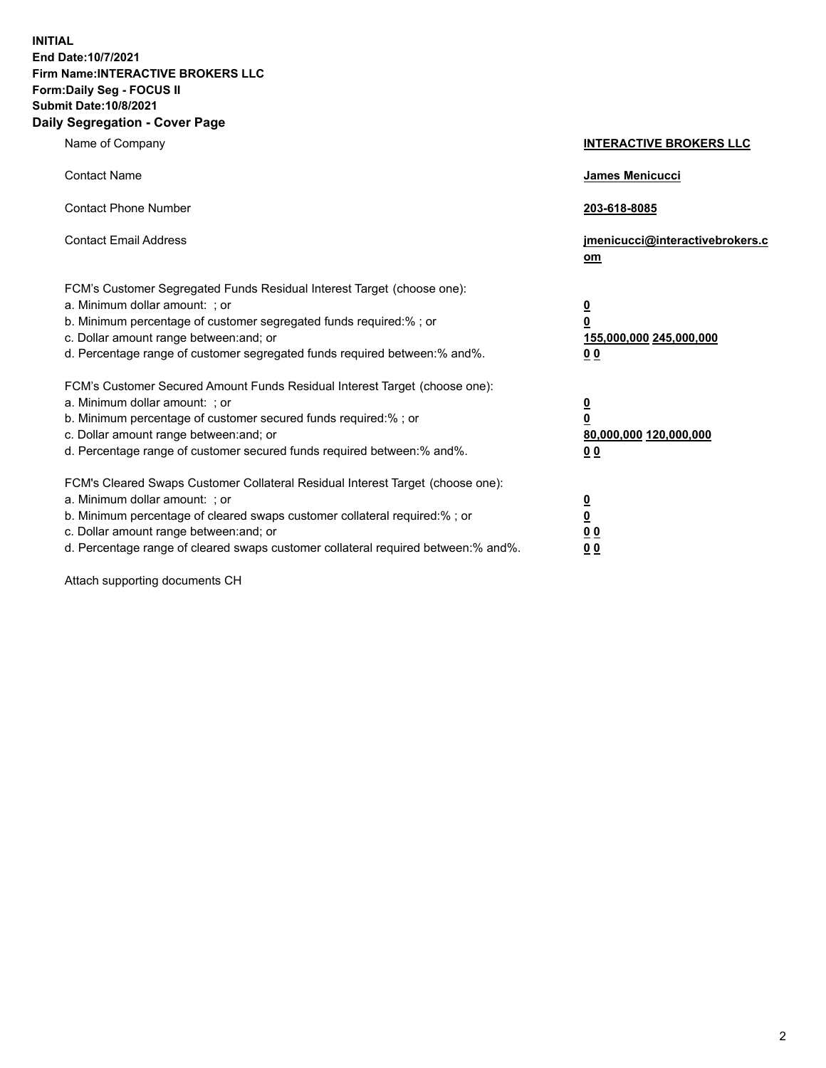**INITIAL End Date:10/7/2021 Firm Name:INTERACTIVE BROKERS LLC Form:Daily Seg - FOCUS II Submit Date:10/8/2021 Daily Segregation - Cover Page**

| Name of Company                                                                                                                                                                                                                                                                                                                | <b>INTERACTIVE BROKERS LLC</b>                                                   |
|--------------------------------------------------------------------------------------------------------------------------------------------------------------------------------------------------------------------------------------------------------------------------------------------------------------------------------|----------------------------------------------------------------------------------|
| <b>Contact Name</b>                                                                                                                                                                                                                                                                                                            | James Menicucci                                                                  |
| <b>Contact Phone Number</b>                                                                                                                                                                                                                                                                                                    | 203-618-8085                                                                     |
| <b>Contact Email Address</b>                                                                                                                                                                                                                                                                                                   | jmenicucci@interactivebrokers.c<br>om                                            |
| FCM's Customer Segregated Funds Residual Interest Target (choose one):<br>a. Minimum dollar amount: ; or<br>b. Minimum percentage of customer segregated funds required:% ; or<br>c. Dollar amount range between: and; or<br>d. Percentage range of customer segregated funds required between:% and%.                         | <u>0</u><br>$\overline{\mathbf{0}}$<br>155,000,000 245,000,000<br>0 <sub>0</sub> |
| FCM's Customer Secured Amount Funds Residual Interest Target (choose one):<br>a. Minimum dollar amount: ; or<br>b. Minimum percentage of customer secured funds required:% ; or<br>c. Dollar amount range between: and; or<br>d. Percentage range of customer secured funds required between:% and%.                           | <u>0</u><br>$\overline{\mathbf{0}}$<br>80,000,000 120,000,000<br>0 <sub>0</sub>  |
| FCM's Cleared Swaps Customer Collateral Residual Interest Target (choose one):<br>a. Minimum dollar amount: ; or<br>b. Minimum percentage of cleared swaps customer collateral required:% ; or<br>c. Dollar amount range between: and; or<br>d. Percentage range of cleared swaps customer collateral required between:% and%. | <u>0</u><br>$\underline{\mathbf{0}}$<br>0 <sub>0</sub><br>0 <sub>0</sub>         |

Attach supporting documents CH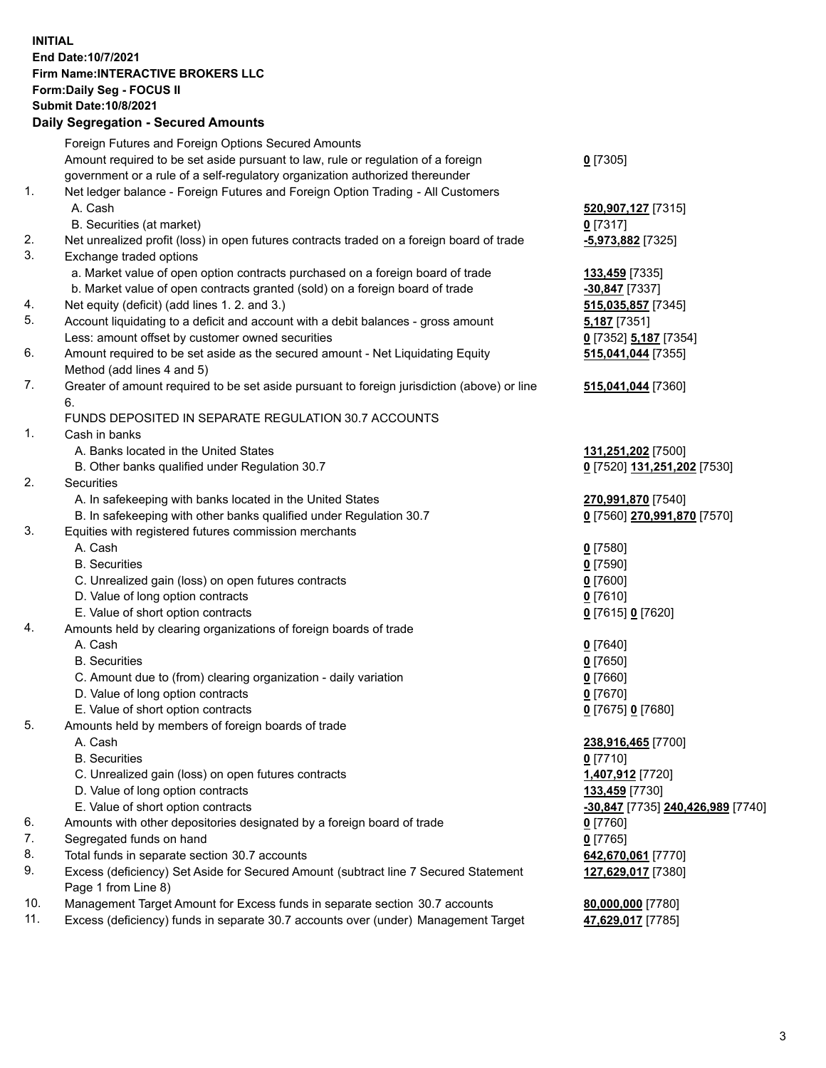**INITIAL End Date:10/7/2021 Firm Name:INTERACTIVE BROKERS LLC Form:Daily Seg - FOCUS II Submit Date:10/8/2021 Daily Segregation - Secured Amounts**

## Foreign Futures and Foreign Options Secured Amounts Amount required to be set aside pursuant to law, rule or regulation of a foreign government or a rule of a self-regulatory organization authorized thereunder **0** [7305] 1. Net ledger balance - Foreign Futures and Foreign Option Trading - All Customers A. Cash **520,907,127** [7315] B. Securities (at market) **0** [7317] 2. Net unrealized profit (loss) in open futures contracts traded on a foreign board of trade **-5,973,882** [7325] 3. Exchange traded options a. Market value of open option contracts purchased on a foreign board of trade **133,459** [7335] b. Market value of open contracts granted (sold) on a foreign board of trade **-30,847** [7337] 4. Net equity (deficit) (add lines 1. 2. and 3.) **515,035,857** [7345] 5. Account liquidating to a deficit and account with a debit balances - gross amount **5,187** [7351] Less: amount offset by customer owned securities **0** [7352] **5,187** [7354] 6. Amount required to be set aside as the secured amount - Net Liquidating Equity Method (add lines 4 and 5) **515,041,044** [7355] 7. Greater of amount required to be set aside pursuant to foreign jurisdiction (above) or line 6. **515,041,044** [7360] FUNDS DEPOSITED IN SEPARATE REGULATION 30.7 ACCOUNTS 1. Cash in banks A. Banks located in the United States **131,251,202** [7500] B. Other banks qualified under Regulation 30.7 **0** [7520] **131,251,202** [7530] 2. Securities A. In safekeeping with banks located in the United States **270,991,870** [7540] B. In safekeeping with other banks qualified under Regulation 30.7 **0** [7560] **270,991,870** [7570] 3. Equities with registered futures commission merchants A. Cash **0** [7580] B. Securities **0** [7590] C. Unrealized gain (loss) on open futures contracts **0** [7600] D. Value of long option contracts **0** [7610] E. Value of short option contracts **0** [7615] **0** [7620] 4. Amounts held by clearing organizations of foreign boards of trade A. Cash **0** [7640] B. Securities **0** [7650] C. Amount due to (from) clearing organization - daily variation **0** [7660] D. Value of long option contracts **0** [7670] E. Value of short option contracts **0** [7675] **0** [7680] 5. Amounts held by members of foreign boards of trade A. Cash **238,916,465** [7700] B. Securities **0** [7710] C. Unrealized gain (loss) on open futures contracts **1,407,912** [7720] D. Value of long option contracts **133,459** [7730] E. Value of short option contracts **-30,847** [7735] **240,426,989** [7740] 6. Amounts with other depositories designated by a foreign board of trade **0** [7760] 7. Segregated funds on hand **0** [7765] 8. Total funds in separate section 30.7 accounts **642,670,061** [7770] 9. Excess (deficiency) Set Aside for Secured Amount (subtract line 7 Secured Statement Page 1 from Line 8) **127,629,017** [7380] 10. Management Target Amount for Excess funds in separate section 30.7 accounts **80,000,000** [7780] 11. Excess (deficiency) funds in separate 30.7 accounts over (under) Management Target **47,629,017** [7785]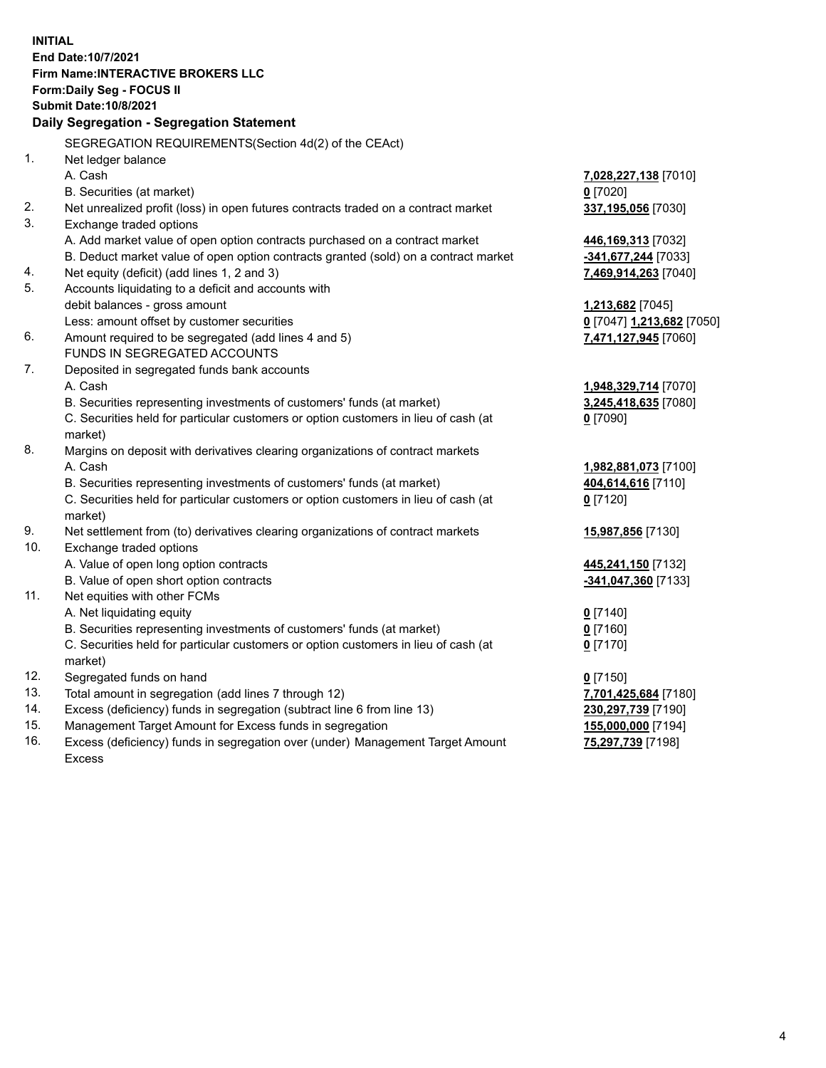**INITIAL End Date:10/7/2021 Firm Name:INTERACTIVE BROKERS LLC Form:Daily Seg - FOCUS II Submit Date:10/8/2021 Daily Segregation - Segregation Statement** SEGREGATION REQUIREMENTS(Section 4d(2) of the CEAct) 1. Net ledger balance A. Cash **7,028,227,138** [7010] B. Securities (at market) **0** [7020] 2. Net unrealized profit (loss) in open futures contracts traded on a contract market **337,195,056** [7030] 3. Exchange traded options A. Add market value of open option contracts purchased on a contract market **446,169,313** [7032] B. Deduct market value of open option contracts granted (sold) on a contract market **-341,677,244** [7033] 4. Net equity (deficit) (add lines 1, 2 and 3) **7,469,914,263** [7040] 5. Accounts liquidating to a deficit and accounts with debit balances - gross amount **1,213,682** [7045] Less: amount offset by customer securities **0** [7047] **1,213,682** [7050] 6. Amount required to be segregated (add lines 4 and 5) **7,471,127,945** [7060] FUNDS IN SEGREGATED ACCOUNTS 7. Deposited in segregated funds bank accounts A. Cash **1,948,329,714** [7070] B. Securities representing investments of customers' funds (at market) **3,245,418,635** [7080] C. Securities held for particular customers or option customers in lieu of cash (at market) **0** [7090] 8. Margins on deposit with derivatives clearing organizations of contract markets A. Cash **1,982,881,073** [7100] B. Securities representing investments of customers' funds (at market) **404,614,616** [7110] C. Securities held for particular customers or option customers in lieu of cash (at market) **0** [7120] 9. Net settlement from (to) derivatives clearing organizations of contract markets **15,987,856** [7130] 10. Exchange traded options A. Value of open long option contracts **445,241,150** [7132] B. Value of open short option contracts **-341,047,360** [7133] 11. Net equities with other FCMs A. Net liquidating equity **0** [7140] B. Securities representing investments of customers' funds (at market) **0** [7160] C. Securities held for particular customers or option customers in lieu of cash (at market) **0** [7170] 12. Segregated funds on hand **0** [7150] 13. Total amount in segregation (add lines 7 through 12) **7,701,425,684** [7180] 14. Excess (deficiency) funds in segregation (subtract line 6 from line 13) **230,297,739** [7190] 15. Management Target Amount for Excess funds in segregation **155,000,000** [7194]

16. Excess (deficiency) funds in segregation over (under) Management Target Amount Excess

**75,297,739** [7198]